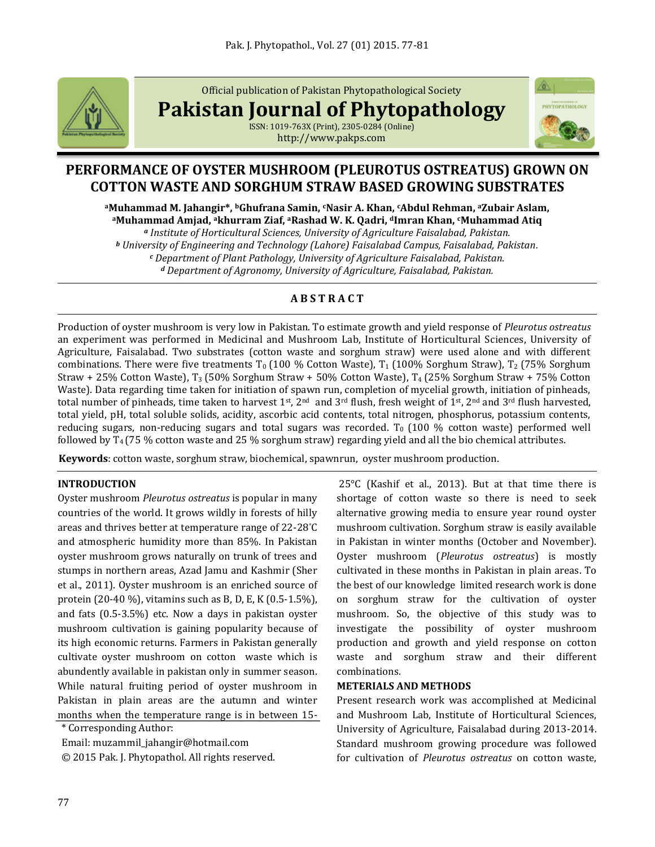

Official publication of Pakistan Phytopathological Society

**Pakistan Journal of Phytopathology**

ISSN: 1019-763X (Print), 2305-0284 (Online) http://www.pakps.com



# **PERFORMANCE OF OYSTER MUSHROOM (PLEUROTUS OSTREATUS) GROWN ON COTTON WASTE AND SORGHUM STRAW BASED GROWING SUBSTRATES**

**<sup>a</sup>Muhammad M. Jahangir\*, bGhufrana Samin, cNasir A. Khan, cAbdul Rehman, <sup>a</sup>Zubair Aslam, <sup>a</sup>Muhammad Amjad, akhurram Ziaf, aRashad W. K. Qadri, dImran Khan, cMuhammad Atiq**

*<sup>a</sup> Institute of Horticultural Sciences, University of Agriculture Faisalabad, Pakistan.*

*<sup>b</sup> University of Engineering and Technology (Lahore) Faisalabad Campus, Faisalabad, Pakistan.*

*<sup>c</sup> Department of Plant Pathology, University of Agriculture Faisalabad, Pakistan.*

*<sup>d</sup> Department of Agronomy, University of Agriculture, Faisalabad, Pakistan.*

## **A B S T R A C T**

Production of oyster mushroom is very low in Pakistan. To estimate growth and yield response of *Pleurotus ostreatus* an experiment was performed in Medicinal and Mushroom Lab, Institute of Horticultural Sciences, University of Agriculture, Faisalabad. Two substrates (cotton waste and sorghum straw) were used alone and with different combinations. There were five treatments  $T_0$  (100 % Cotton Waste),  $T_1$  (100% Sorghum Straw),  $T_2$  (75% Sorghum Straw + 25% Cotton Waste),  $T_3$  (50% Sorghum Straw + 50% Cotton Waste),  $T_4$  (25% Sorghum Straw + 75% Cotton Waste). Data regarding time taken for initiation of spawn run, completion of mycelial growth, initiation of pinheads, total number of pinheads, time taken to harvest 1<sup>st</sup>, 2<sup>nd</sup> and 3<sup>rd</sup> flush, fresh weight of 1<sup>st</sup>, 2<sup>nd</sup> and 3<sup>rd</sup> flush harvested, total yield, pH, total soluble solids, acidity, ascorbic acid contents, total nitrogen, phosphorus, potassium contents, reducing sugars, non-reducing sugars and total sugars was recorded.  $T_0$  (100 % cotton waste) performed well followed by T4 (75 % cotton waste and 25 % sorghum straw) regarding yield and all the bio chemical attributes.

**Keywords**: cotton waste, sorghum straw, biochemical, spawnrun, oyster mushroom production.

#### **INTRODUCTION**

Oyster mushroom *Pleurotus ostreatus* is popular in many countries of the world. It grows wildly in forests of hilly areas and thrives better at temperature range of 22-28°C and atmospheric humidity more than 85%. In Pakistan oyster mushroom grows naturally on trunk of trees and stumps in northern areas, Azad Jamu and Kashmir (Sher et al., 2011). Oyster mushroom is an enriched source of protein (20-40 %), vitamins such as B, D, E, K (0.5-1.5%), and fats (0.5-3.5%) etc. Now a days in pakistan oyster mushroom cultivation is gaining popularity because of its high economic returns. Farmers in Pakistan generally cultivate oyster mushroom on cotton waste which is abundently available in pakistan only in summer season. While natural fruiting period of oyster mushroom in Pakistan in plain areas are the autumn and winter months when the temperature range is in between 15-

\* Corresponding Author:

Email: muzammil\_jahangir@hotmail.com

© 2015 Pak. J. Phytopathol. All rights reserved.

25°C (Kashif et al., 2013). But at that time there is shortage of cotton waste so there is need to seek alternative growing media to ensure year round oyster mushroom cultivation. Sorghum straw is easily available in Pakistan in winter months (October and November). Oyster mushroom (*Pleurotus ostreatus*) is mostly cultivated in these months in Pakistan in plain areas. To the best of our knowledge limited research work is done on sorghum straw for the cultivation of oyster mushroom. So, the objective of this study was to investigate the possibility of oyster mushroom production and growth and yield response on cotton waste and sorghum straw and their different combinations.

#### **METERIALS AND METHODS**

Present research work was accomplished at Medicinal and Mushroom Lab, Institute of Horticultural Sciences, University of Agriculture, Faisalabad during 2013-2014. Standard mushroom growing procedure was followed for cultivation of *Pleurotus ostreatus* on cotton waste,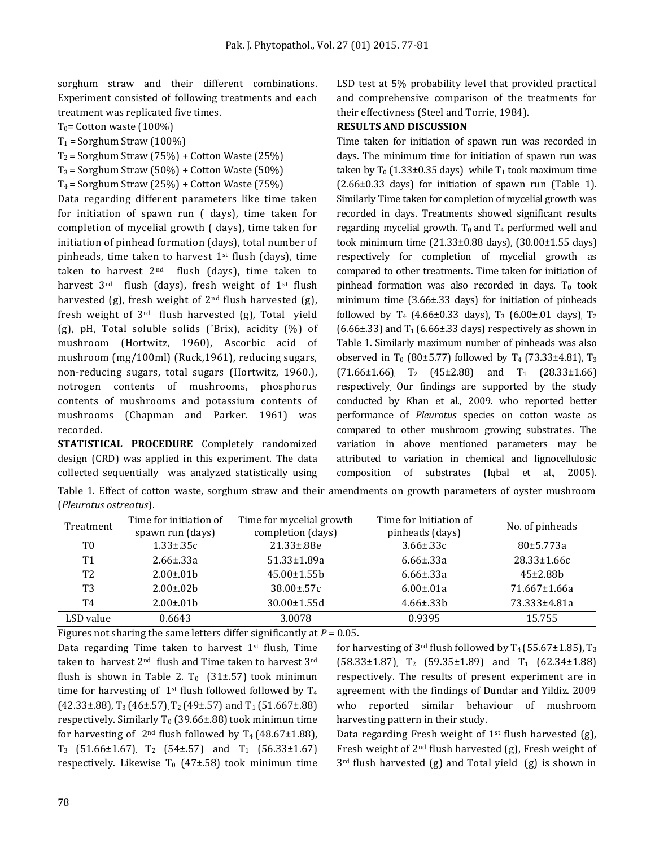sorghum straw and their different combinations. Experiment consisted of following treatments and each treatment was replicated five times.

 $T_0$ = Cotton waste (100%)

 $T_1$  = Sorghum Straw (100%)

 $T_2$  = Sorghum Straw (75%) + Cotton Waste (25%)

 $T_3$  = Sorghum Straw (50%) + Cotton Waste (50%)

 $T_4$  = Sorghum Straw (25%) + Cotton Waste (75%)

Data regarding different parameters like time taken for initiation of spawn run ( days), time taken for completion of mycelial growth ( days), time taken for initiation of pinhead formation (days), total number of pinheads, time taken to harvest  $1<sup>st</sup>$  flush (days), time taken to harvest  $2<sup>nd</sup>$  flush (days), time taken to harvest 3<sup>rd</sup> flush (days), fresh weight of 1<sup>st</sup> flush harvested (g), fresh weight of  $2<sup>nd</sup>$  flush harvested (g), fresh weight of 3rd flush harvested (g), Total yield (g), pH, Total soluble solids (°Brix), acidity (%) of mushroom (Hortwitz, 1960), Ascorbic acid of mushroom (mg/100ml) (Ruck,1961), reducing sugars, non-reducing sugars, total sugars (Hortwitz, 1960.), notrogen contents of mushrooms, phosphorus contents of mushrooms and potassium contents of mushrooms (Chapman and Parker. 1961) was recorded.

**STATISTICAL PROCEDURE** Completely randomized design (CRD) was applied in this experiment. The data collected sequentially was analyzed statistically using LSD test at 5% probability level that provided practical and comprehensive comparison of the treatments for their effectivness (Steel and Torrie, 1984).

#### **RESULTS AND DISCUSSION**

Time taken for initiation of spawn run was recorded in days. The minimum time for initiation of spawn run was taken by  $T_0$  (1.33±0.35 days) while  $T_1$  took maximum time (2.66±0.33 days) for initiation of spawn run (Table 1). Similarly Time taken for completion of mycelial growth was recorded in days. Treatments showed significant results regarding mycelial growth.  $T_0$  and  $T_4$  performed well and took minimum time (21.33±0.88 days), (30.00±1.55 days) respectively for completion of mycelial growth as compared to other treatments. Time taken for initiation of pinhead formation was also recorded in days.  $T_0$  took minimum time (3.66±.33 days) for initiation of pinheads followed by T<sub>4</sub> (4.66±0.33 days), T<sub>3</sub> (6.00±.01 days), T<sub>2</sub>  $(6.66\pm.33)$  and T<sub>1</sub>  $(6.66\pm.33$  days) respectively as shown in Table 1. Similarly maximum number of pinheads was also observed in T<sub>0</sub> (80±5.77) followed by T<sub>4</sub> (73.33±4.81), T<sub>3</sub>  $(71.66\pm1.66)$ , T<sub>2</sub> (45 $\pm$ 2.88) and T<sub>1</sub> (28.33 $\pm$ 1.66) respectively. Our findings are supported by the study conducted by Khan et al., 2009. who reported better performance of *Pleurotus* species on cotton waste as compared to other mushroom growing substrates. The variation in above mentioned parameters may be attributed to variation in chemical and lignocellulosic composition of substrates (Iqbal et al., 2005).

Table 1. Effect of cotton waste, sorghum straw and their amendments on growth parameters of oyster mushroom (*Pleurotus ostreatus*).

| Treatment      | Time for initiation of<br>spawn run (days) | Time for mycelial growth<br>completion (days) | Time for Initiation of<br>pinheads (days) | No. of pinheads   |
|----------------|--------------------------------------------|-----------------------------------------------|-------------------------------------------|-------------------|
| T0             | $1.33 \pm .35c$                            | 21.33±.88e                                    | $3.66 \pm .33c$                           | 80±5.773a         |
| T1             | $2.66 \pm .33a$                            | 51.33±1.89a                                   | $6.66 \pm .33a$                           | $28.33 \pm 1.66c$ |
| T <sub>2</sub> | $2.00 \pm 0.01$ b                          | $45.00 \pm 1.55 b$                            | $6.66 \pm 33a$                            | $45\pm2.88h$      |
| T3             | $2.00 \pm 0.02 b$                          | $38.00 \pm 57c$                               | $6.00 \pm 0.01a$                          | 71.667±1.66a      |
| T4             | $2.00 \pm 0.01$ b                          | $30.00 \pm 1.55$ d                            | $4.66 \pm .33$                            | 73.333±4.81a      |
| LSD value      | 0.6643                                     | 3.0078                                        | 0.9395                                    | 15.755            |

Figures not sharing the same letters differ significantly at *P* = 0.05. Data regarding Time taken to harvest  $1<sup>st</sup>$  flush, Time taken to harvest 2nd flush and Time taken to harvest 3rd flush is shown in Table 2. T<sub>0</sub> (31 $\pm$ .57) took minimun time for harvesting of  $1<sup>st</sup>$  flush followed followed by  $T_4$  $(42.33\pm.88)$ , T<sub>3</sub> (46±.57), T<sub>2</sub> (49±.57) and T<sub>1</sub> (51.667±.88) respectively. Similarly T<sub>0</sub> (39.66±.88) took minimun time for harvesting of  $2<sup>nd</sup>$  flush followed by T<sub>4</sub> (48.67±1.88),  $T_3$  (51.66±1.67),  $T_2$  (54±.57) and  $T_1$  (56.33±1.67) respectively. Likewise  $T_0$  (47±.58) took minimun time

for harvesting of 3<sup>rd</sup> flush followed by T<sub>4</sub> (55.67±1.85), T<sub>3</sub>  $(58.33\pm1.87)$ , T<sub>2</sub> (59.35 $\pm1.89$ ) and T<sub>1</sub> (62.34 $\pm1.88$ ) respectively. The results of present experiment are in agreement with the findings of Dundar and Yildiz. 2009 who reported similar behaviour of mushroom harvesting pattern in their study.

Data regarding Fresh weight of 1st flush harvested (g), Fresh weight of 2nd flush harvested (g), Fresh weight of 3rd flush harvested (g) and Total yield (g) is shown in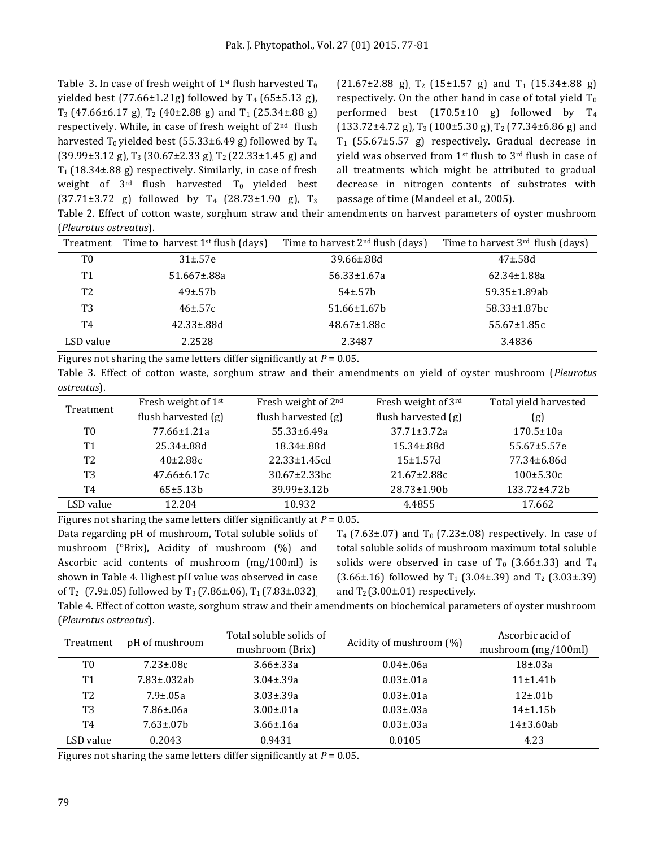Table 3. In case of fresh weight of 1<sup>st</sup> flush harvested  $T_0$ yielded best (77.66±1.21g) followed by  $T_4$  (65±5.13 g),  $T_3$  (47.66±6.17 g),  $T_2$  (40±2.88 g) and  $T_1$  (25.34±.88 g) respectively. While, in case of fresh weight of  $2<sup>nd</sup>$  flush harvested  $T_0$  yielded best (55.33±6.49 g) followed by  $T_4$ (39.99±3.12 g), T<sub>3</sub> (30.67±2.33 g), T<sub>2</sub> (22.33±1.45 g) and  $T_1$  (18.34±.88 g) respectively. Similarly, in case of fresh weight of  $3^{rd}$  flush harvested  $T_0$  yielded best  $(37.71\pm3.72 \text{ g})$  followed by T<sub>4</sub>  $(28.73\pm1.90 \text{ g})$ , T<sub>3</sub>  $(21.67\pm2.88 \text{ g})$ ,  $T_2$  (15 $\pm1.57 \text{ g}$ ) and  $T_1$  (15.34 $\pm$ .88 g) respectively. On the other hand in case of total yield  $T_0$ performed best  $(170.5\pm10)$  g) followed by  $T_4$  $(133.72\pm4.72 \text{ g})$ , T<sub>3</sub> (100 $\pm$ 5.30 g), T<sub>2</sub> (77.34 $\pm$ 6.86 g) and  $T_1$  (55.67 $\pm$ 5.57 g) respectively. Gradual decrease in yield was observed from 1st flush to 3rd flush in case of all treatments which might be attributed to gradual decrease in nitrogen contents of substrates with passage of time (Mandeel et al., 2005).

Table 2. Effect of cotton waste, sorghum straw and their amendments on harvest parameters of oyster mushroom (*Pleurotus ostreatus*).

| Treatment      | Time to harvest $1st$ flush (days) | Time to harvest $2nd$ flush (days) | Time to harvest $3^{rd}$ flush (days) |
|----------------|------------------------------------|------------------------------------|---------------------------------------|
| T0             | $31 + .57e$                        | $39.66 \pm 88$ d                   | $47 \pm .58$ d                        |
| T1             | $51.667 \pm .88a$                  | 56.33±1.67a                        | 62.34±1.88a                           |
| T <sub>2</sub> | $49\pm.57h$                        | $54 \pm 57$ h                      | 59.35±1.89ab                          |
| T3             | $46 \pm 57$ c                      | $51.66 \pm 1.67$                   | $58.33 \pm 1.87$ bc                   |
| T4             | $42.33 \pm .88$ d                  | $48.67 \pm 1.88c$                  | $55.67 \pm 1.85c$                     |
| LSD value      | 2.2528                             | 2.3487                             | 3.4836                                |

Figures not sharing the same letters differ significantly at *P* = 0.05.

Table 3. Effect of cotton waste, sorghum straw and their amendments on yield of oyster mushroom (*Pleurotus ostreatus*).

| Treatment      | Fresh weight of 1 <sup>st</sup> | Fresh weight of 2 <sup>nd</sup> | Fresh weight of 3rd   | Total yield harvested |
|----------------|---------------------------------|---------------------------------|-----------------------|-----------------------|
|                | flush harvested $(g)$           | flush harvested (g)             | flush harvested $(g)$ | (g)                   |
| T0             | $77.66 \pm 1.21a$               | $55.33 \pm 6.49a$               | $37.71 \pm 3.72a$     | $170.5 \pm 10a$       |
| T1             | $25.34 \pm .88$ d               | $18.34 \pm .88d$                | $15.34 \pm .88$ d     | $55.67 \pm 5.57e$     |
| T <sub>2</sub> | $40\pm2.88c$                    | $22.33 \pm 1.45$ cd             | $15+1.57d$            | 77.34±6.86d           |
| T3             | $47.66 \pm 6.17c$               | $30.67 \pm 2.33$ bc             | $21.67 \pm 2.88c$     | $100 \pm 5.30c$       |
| T4             | 65±5.13b                        | $39.99 \pm 3.12 h$              | 28.73±1.90b           | 133.72±4.72b          |
| LSD value      | 12.204                          | 10.932                          | 4.4855                | 17.662                |

Figures not sharing the same letters differ significantly at *P* = 0.05.

Data regarding pH of mushroom, Total soluble solids of mushroom (°Brix), Acidity of mushroom (%) and Ascorbic acid contents of mushroom (mg/100ml) is shown in Table 4. Highest pH value was observed in case of T<sub>2</sub> (7.9±.05) followed by T<sub>3</sub> (7.86±.06), T<sub>1</sub> (7.83±.032),  $T_4$  (7.63±.07) and  $T_0$  (7.23±.08) respectively. In case of total soluble solids of mushroom maximum total soluble solids were observed in case of  $T_0$  (3.66±.33) and  $T_4$  $(3.66\pm.16)$  followed by T<sub>1</sub> (3.04 $\pm$ .39) and T<sub>2</sub> (3.03 $\pm$ .39) and  $T_2$  (3.00 $\pm$ .01) respectively.

Table 4. Effect of cotton waste, sorghum straw and their amendments on biochemical parameters of oyster mushroom (*Pleurotus ostreatus*).

| pH of mushroom<br>Treatment |                    | Total soluble solids of | Acidity of mushroom (%) | Ascorbic acid of      |
|-----------------------------|--------------------|-------------------------|-------------------------|-----------------------|
|                             |                    | mushroom (Brix)         |                         | mushroom $(mg/100ml)$ |
| T0                          | $7.23 \pm .08c$    | $3.66 \pm 0.33a$        | $0.04 \pm 0.06a$        | $18\pm.03a$           |
| T <sub>1</sub>              | $7.83 \pm 0.32$ ab | $3.04 \pm .39a$         | $0.03 \pm 0.01a$        | 11±1.41 <sub>b</sub>  |
| T <sub>2</sub>              | $7.9 \pm 0.5a$     | $3.03 \pm .39a$         | $0.03 \pm 0.01a$        | $12 \pm .01$          |
| T3                          | 7.86±.06a          | $3.00 \pm 0.01a$        | $0.03 \pm 0.03a$        | $14\pm 1.15b$         |
| T4                          | $7.63 \pm 0.07$    | $3.66 \pm 16a$          | $0.03 \pm 0.03a$        | $14\pm3.60ab$         |
| LSD value                   | 0.2043             | 0.9431                  | 0.0105                  | 4.23                  |

Figures not sharing the same letters differ significantly at *P* = 0.05.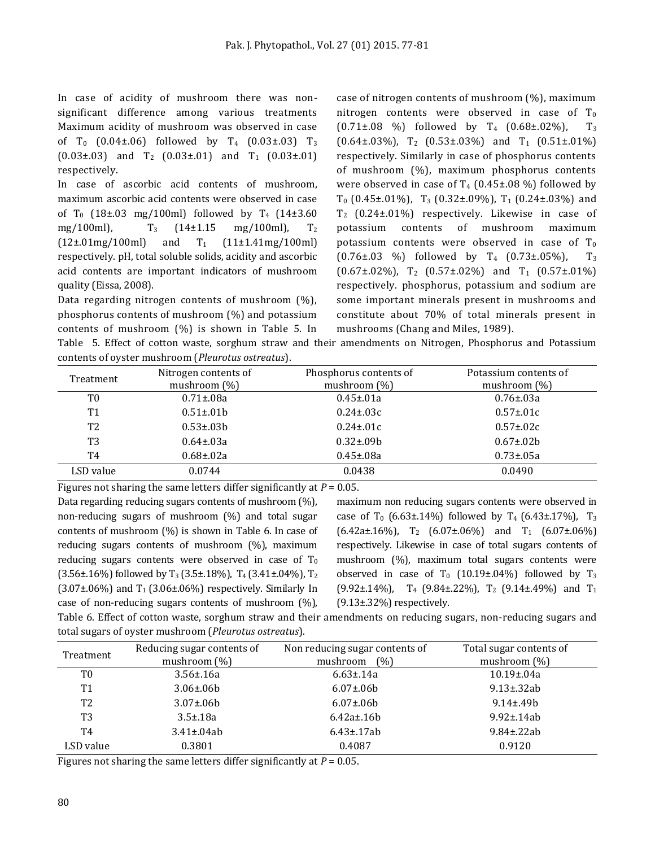In case of acidity of mushroom there was nonsignificant difference among various treatments Maximum acidity of mushroom was observed in case of T<sub>0</sub> (0.04±.06) followed by T<sub>4</sub> (0.03±.03) T<sub>3</sub>  $(0.03\pm.03)$  and  $T_2$   $(0.03\pm.01)$  and  $T_1$   $(0.03\pm.01)$ respectively.

In case of ascorbic acid contents of mushroom, maximum ascorbic acid contents were observed in case of T<sub>0</sub> (18±.03 mg/100ml) followed by T<sub>4</sub> (14±3.60) mg/100ml),  $T_3$  (14±1.15 mg/100ml),  $T_2$  $(12\pm.01\text{mg}/100\text{ml})$  and  $T_1$   $(11\pm1.41\text{mg}/100\text{ml})$ respectively. pH, total soluble solids, acidity and ascorbic acid contents are important indicators of mushroom quality (Eissa, 2008).

Data regarding nitrogen contents of mushroom (%), phosphorus contents of mushroom (%) and potassium contents of mushroom (%) is shown in Table 5. In case of nitrogen contents of mushroom (%), maximum nitrogen contents were observed in case of  $T_0$  $(0.71\pm.08\%)$  followed by T<sub>4</sub>  $(0.68\pm.02\%)$ , T<sub>3</sub>  $(0.64\pm.03\%)$ , T<sub>2</sub>  $(0.53\pm.03\%)$  and T<sub>1</sub>  $(0.51\pm.01\%)$ respectively. Similarly in case of phosphorus contents of mushroom (%), maximum phosphorus contents were observed in case of  $T_4$  (0.45±.08 %) followed by  $T_0$  (0.45±.01%),  $T_3$  (0.32±.09%),  $T_1$  (0.24±.03%) and T2 (0.24±.01%) respectively. Likewise in case of potassium contents of mushroom maximum potassium contents were observed in case of  $T_0$  $(0.76\pm.03 \, \%)$  followed by T<sub>4</sub>  $(0.73\pm.05\%)$ , T<sub>3</sub>  $(0.67\pm.02\%)$ , T<sub>2</sub>  $(0.57\pm.02\%)$  and T<sub>1</sub>  $(0.57\pm.01\%)$ respectively. phosphorus, potassium and sodium are some important minerals present in mushrooms and constitute about 70% of total minerals present in mushrooms (Chang and Miles, 1989).

Table 5. Effect of cotton waste, sorghum straw and their amendments on Nitrogen, Phosphorus and Potassium contents of oyster mushroom (*Pleurotus ostreatus*).

| Treatment      | Nitrogen contents of<br>mushroom $(\%)$ | Phosphorus contents of<br>mushroom $(\%)$ | Potassium contents of<br>mushroom $(\%)$ |
|----------------|-----------------------------------------|-------------------------------------------|------------------------------------------|
| T0             | $0.71 \pm 0.08a$                        | $0.45 \pm 0.1a$                           | $0.76 \pm 0.3a$                          |
| T1             | $0.51 \pm 0.01 b$                       | $0.24 \pm 0.3c$                           | $0.57 \pm 0.01c$                         |
| T <sub>2</sub> | $0.53 \pm 0.03 b$                       | $0.24 \pm 0.01c$                          | $0.57 \pm 0.02c$                         |
| T <sub>3</sub> | $0.64 \pm 0.03a$                        | $0.32 \pm 0.09 b$                         | $0.67 \pm 0.02 b$                        |
| T4             | $0.68 + 0.02a$                          | $0.45 \pm 0.08a$                          | $0.73 \pm 0.05a$                         |
| LSD value      | 0.0744                                  | 0.0438                                    | 0.0490                                   |

Figures not sharing the same letters differ significantly at *P* = 0.05.

Data regarding reducing sugars contents of mushroom (%), non-reducing sugars of mushroom (%) and total sugar contents of mushroom (%) is shown in Table 6. In case of reducing sugars contents of mushroom (%), maximum reducing sugars contents were observed in case of  $T_0$  $(3.56\pm.16\%)$  followed by T<sub>3</sub> (3.5 $\pm$ .18%), T<sub>4</sub> (3.41 $\pm$ .04%), T<sub>2</sub> (3.07 $\pm$ .06%) and T<sub>1</sub> (3.06 $\pm$ .06%) respectively. Similarly In case of non-reducing sugars contents of mushroom (%), maximum non reducing sugars contents were observed in case of  $T_0$  (6.63±.14%) followed by  $T_4$  (6.43±.17%),  $T_3$  $(6.42a \pm 0.16\%)$ , T<sub>2</sub>  $(6.07\pm 0.06\%)$  and T<sub>1</sub>  $(6.07\pm 0.06\%)$ respectively. Likewise in case of total sugars contents of mushroom (%), maximum total sugars contents were observed in case of  $T_0$  (10.19±.04%) followed by  $T_3$  $(9.92 \pm 0.14\%)$ , T<sub>4</sub> (9.84 $\pm$ .22%), T<sub>2</sub> (9.14 $\pm$ .49%) and T<sub>1</sub> (9.13±.32%) respectively.

Table 6. Effect of cotton waste, sorghum straw and their amendments on reducing sugars, non-reducing sugars and total sugars of oyster mushroom (*Pleurotus ostreatus*).

| Treatment      | Reducing sugar contents of<br>mushroom $(\%)$ | Non reducing sugar contents of<br>mushroom<br>(%) | Total sugar contents of<br>mushroom $(\%)$ |
|----------------|-----------------------------------------------|---------------------------------------------------|--------------------------------------------|
| T0             | $3.56 \pm 0.16a$                              | $6.63 \pm 0.14a$                                  | $10.19 \pm 0.04a$                          |
| T1             | $3.06 \pm 0.06 b$                             | $6.07 \pm .06$                                    | $9.13 \pm .32ab$                           |
| T <sub>2</sub> | $3.07 \pm .06 b$                              | $6.07 \pm 0.06 b$                                 | $9.14 \pm 49$                              |
| T <sub>3</sub> | $3.5 \pm 18a$                                 | $6.42a \pm 16b$                                   | $9.92 \pm .14$ ab                          |
| T4             | $3.41 \pm .04$ ab                             | $6.43 \pm 0.17$ ab                                | 9.84±.22ab                                 |
| LSD value      | 0.3801                                        | 0.4087                                            | 0.9120                                     |

Figures not sharing the same letters differ significantly at *P* = 0.05.